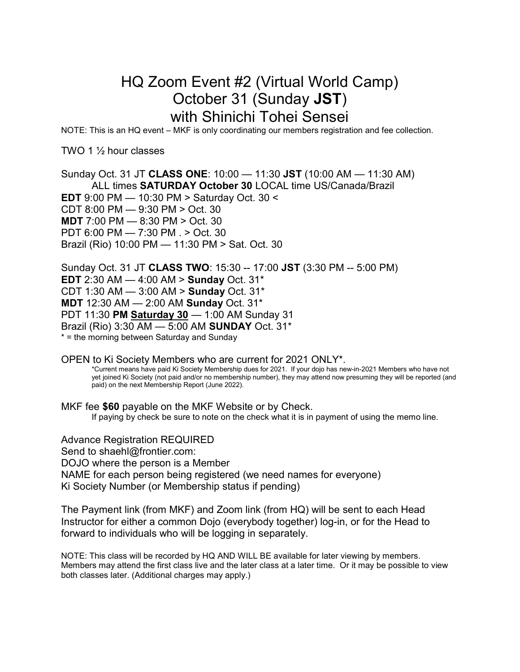## HQ Zoom Event #2 (Virtual World Camp) October 31 (Sunday JST) with Shinichi Tohei Sensei

NOTE: This is an HQ event – MKF is only coordinating our members registration and fee collection.

TWO 1 ½ hour classes

Sunday Oct. 31 JT CLASS ONE: 10:00 — 11:30 JST (10:00 AM — 11:30 AM) ALL times SATURDAY October 30 LOCAL time US/Canada/Brazil EDT 9:00 PM — 10:30 PM > Saturday Oct. 30 < CDT 8:00 PM — 9:30 PM > Oct. 30 MDT 7:00 PM — 8:30 PM > Oct. 30 PDT 6:00 PM — 7:30 PM . > Oct. 30 Brazil (Rio) 10:00 PM — 11:30 PM > Sat. Oct. 30

Sunday Oct. 31 JT CLASS TWO: 15:30 -- 17:00 JST (3:30 PM -- 5:00 PM) **EDT** 2:30 AM  $-$  4:00 AM  $>$  **Sunday** Oct. 31<sup>\*</sup> CDT 1:30 AM — 3:00 AM > Sunday Oct. 31\* MDT 12:30 AM — 2:00 AM Sunday Oct. 31\* PDT 11:30 PM Saturday 30 — 1:00 AM Sunday 31 Brazil (Rio) 3:30 AM — 5:00 AM SUNDAY Oct. 31\* \* = the morning between Saturday and Sunday

OPEN to Ki Society Members who are current for 2021 ONLY\*. \*Current means have paid Ki Society Membership dues for 2021. If your dojo has new-in-2021 Members who have not yet joined Ki Society (not paid and/or no membership number), they may attend now presuming they will be reported (and paid) on the next Membership Report (June 2022).

MKF fee \$60 payable on the MKF Website or by Check. If paying by check be sure to note on the check what it is in payment of using the memo line.

Advance Registration REQUIRED Send to shaehl@frontier.com: DOJO where the person is a Member NAME for each person being registered (we need names for everyone) Ki Society Number (or Membership status if pending)

The Payment link (from MKF) and Zoom link (from HQ) will be sent to each Head Instructor for either a common Dojo (everybody together) log-in, or for the Head to forward to individuals who will be logging in separately.

NOTE: This class will be recorded by HQ AND WILL BE available for later viewing by members. Members may attend the first class live and the later class at a later time. Or it may be possible to view both classes later. (Additional charges may apply.)